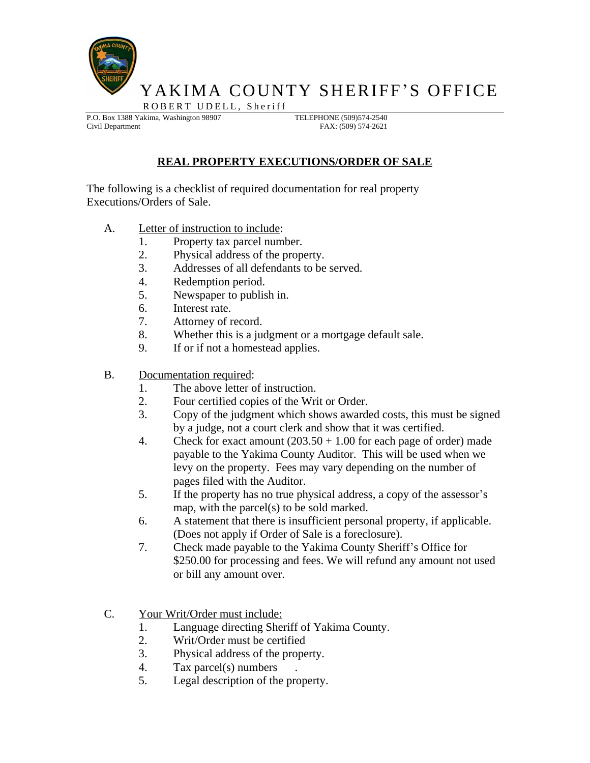

YAKIMA COUNTY SHERIFF'S OFFICE ROBERT UDELL, Sheriff

P.O. Box 1388 Yakima, Washington 98907 TELEPHONE (509)574-2540 Civil Department FAX: (509) 574-2621

## **REAL PROPERTY EXECUTIONS/ORDER OF SALE**

The following is a checklist of required documentation for real property Executions/Orders of Sale.

- A. Letter of instruction to include:
	- 1. Property tax parcel number.
	- 2. Physical address of the property.
	- 3. Addresses of all defendants to be served.
	- 4. Redemption period.
	- 5. Newspaper to publish in.
	- 6. Interest rate.
	- 7. Attorney of record.
	- 8. Whether this is a judgment or a mortgage default sale.
	- 9. If or if not a homestead applies.
- B. Documentation required:
	- 1. The above letter of instruction.
	- 2. Four certified copies of the Writ or Order.
	- 3. Copy of the judgment which shows awarded costs, this must be signed by a judge, not a court clerk and show that it was certified.
	- 4. Check for exact amount  $(203.50 + 1.00)$  for each page of order) made payable to the Yakima County Auditor. This will be used when we levy on the property. Fees may vary depending on the number of pages filed with the Auditor.
	- 5. If the property has no true physical address, a copy of the assessor's map, with the parcel(s) to be sold marked.
	- 6. A statement that there is insufficient personal property, if applicable. (Does not apply if Order of Sale is a foreclosure).
	- 7. Check made payable to the Yakima County Sheriff's Office for \$250.00 for processing and fees. We will refund any amount not used or bill any amount over.
- C. Your Writ/Order must include:
	- 1. Language directing Sheriff of Yakima County.
	- 2. Writ/Order must be certified
	- 3. Physical address of the property.
	- 4. Tax parcel(s) numbers .
	- 5. Legal description of the property.